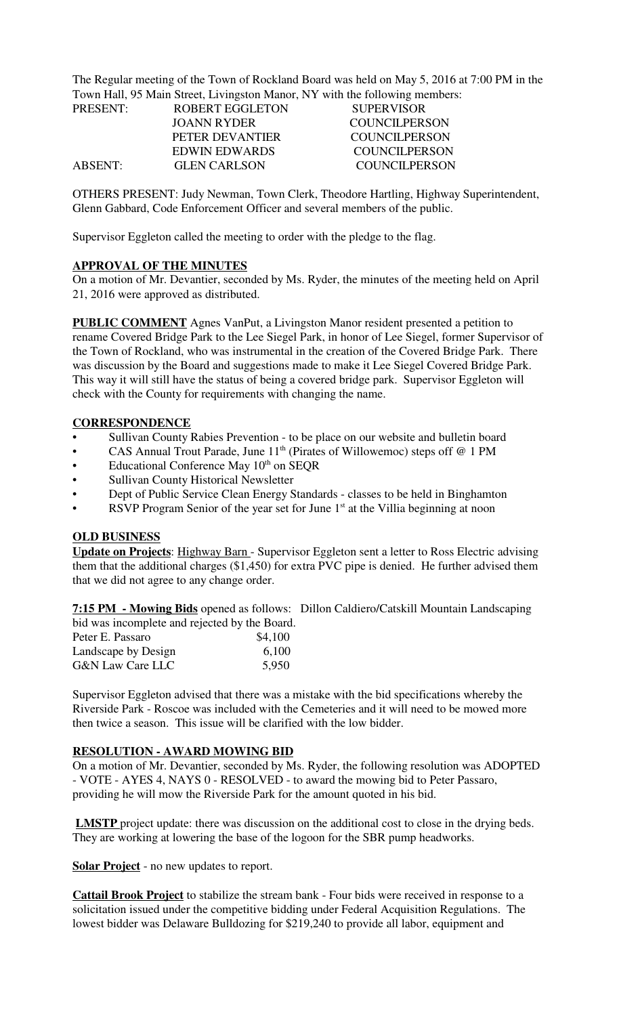The Regular meeting of the Town of Rockland Board was held on May 5, 2016 at 7:00 PM in the Town Hall, 95 Main Street, Livingston Manor, NY with the following members:

| PRESENT: | ROBERT EGGLETON     | <b>SUPERVISOR</b> |
|----------|---------------------|-------------------|
|          | JOANN RYDER         | COUNCILPERSON     |
|          | PETER DEVANTIER     | COUNCIL PERSON    |
|          | EDWIN EDWARDS       | COUNCIL PERSON    |
| ABSENT:  | <b>GLEN CARLSON</b> | COUNCIL PERSON    |

OTHERS PRESENT: Judy Newman, Town Clerk, Theodore Hartling, Highway Superintendent, Glenn Gabbard, Code Enforcement Officer and several members of the public.

Supervisor Eggleton called the meeting to order with the pledge to the flag.

#### **APPROVAL OF THE MINUTES**

On a motion of Mr. Devantier, seconded by Ms. Ryder, the minutes of the meeting held on April 21, 2016 were approved as distributed.

**PUBLIC COMMENT** Agnes VanPut, a Livingston Manor resident presented a petition to rename Covered Bridge Park to the Lee Siegel Park, in honor of Lee Siegel, former Supervisor of the Town of Rockland, who was instrumental in the creation of the Covered Bridge Park. There was discussion by the Board and suggestions made to make it Lee Siegel Covered Bridge Park. This way it will still have the status of being a covered bridge park. Supervisor Eggleton will check with the County for requirements with changing the name.

#### **CORRESPONDENCE**

- Sullivan County Rabies Prevention to be place on our website and bulletin board
- CAS Annual Trout Parade, June  $11<sup>th</sup>$  (Pirates of Willowemoc) steps off @ 1 PM
- Educational Conference May  $10<sup>th</sup>$  on SEQR
- Sullivan County Historical Newsletter
- Dept of Public Service Clean Energy Standards classes to be held in Binghamton
- RSVP Program Senior of the year set for June  $1<sup>st</sup>$  at the Villia beginning at noon

#### **OLD BUSINESS**

**Update on Projects**: Highway Barn - Supervisor Eggleton sent a letter to Ross Electric advising them that the additional charges (\$1,450) for extra PVC pipe is denied. He further advised them that we did not agree to any change order.

**7:15 PM - Mowing Bids** opened as follows: Dillon Caldiero/Catskill Mountain Landscaping bid was incomplete and rejected by the Board.

|  | \$4,100 |
|--|---------|
|  | 6,100   |
|  | 5,950   |
|  |         |

Supervisor Eggleton advised that there was a mistake with the bid specifications whereby the Riverside Park - Roscoe was included with the Cemeteries and it will need to be mowed more then twice a season. This issue will be clarified with the low bidder.

#### **RESOLUTION - AWARD MOWING BID**

On a motion of Mr. Devantier, seconded by Ms. Ryder, the following resolution was ADOPTED - VOTE - AYES 4, NAYS 0 - RESOLVED - to award the mowing bid to Peter Passaro, providing he will mow the Riverside Park for the amount quoted in his bid.

**LMSTP** project update: there was discussion on the additional cost to close in the drying beds. They are working at lowering the base of the logoon for the SBR pump headworks.

**Solar Project** - no new updates to report.

**Cattail Brook Project** to stabilize the stream bank - Four bids were received in response to a solicitation issued under the competitive bidding under Federal Acquisition Regulations. The lowest bidder was Delaware Bulldozing for \$219,240 to provide all labor, equipment and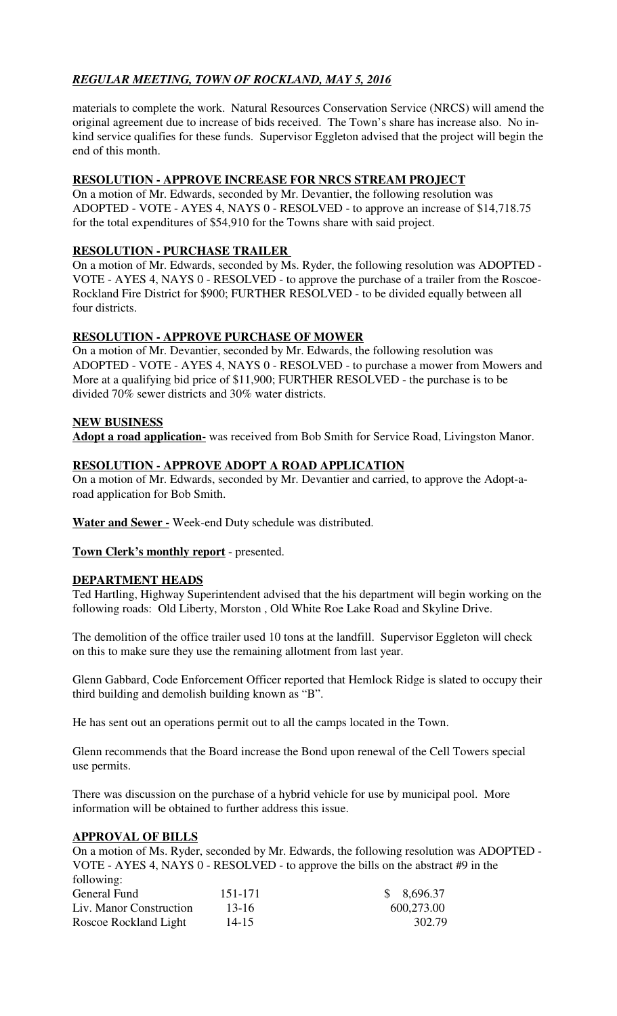# *REGULAR MEETING, TOWN OF ROCKLAND, MAY 5, 2016*

materials to complete the work. Natural Resources Conservation Service (NRCS) will amend the original agreement due to increase of bids received. The Town's share has increase also. No inkind service qualifies for these funds. Supervisor Eggleton advised that the project will begin the end of this month.

## **RESOLUTION - APPROVE INCREASE FOR NRCS STREAM PROJECT**

On a motion of Mr. Edwards, seconded by Mr. Devantier, the following resolution was ADOPTED - VOTE - AYES 4, NAYS 0 - RESOLVED - to approve an increase of \$14,718.75 for the total expenditures of \$54,910 for the Towns share with said project.

## **RESOLUTION - PURCHASE TRAILER**

On a motion of Mr. Edwards, seconded by Ms. Ryder, the following resolution was ADOPTED - VOTE - AYES 4, NAYS 0 - RESOLVED - to approve the purchase of a trailer from the Roscoe-Rockland Fire District for \$900; FURTHER RESOLVED - to be divided equally between all four districts.

## **RESOLUTION - APPROVE PURCHASE OF MOWER**

On a motion of Mr. Devantier, seconded by Mr. Edwards, the following resolution was ADOPTED - VOTE - AYES 4, NAYS 0 - RESOLVED - to purchase a mower from Mowers and More at a qualifying bid price of \$11,900; FURTHER RESOLVED - the purchase is to be divided 70% sewer districts and 30% water districts.

## **NEW BUSINESS**

**Adopt a road application-** was received from Bob Smith for Service Road, Livingston Manor.

## **RESOLUTION - APPROVE ADOPT A ROAD APPLICATION**

On a motion of Mr. Edwards, seconded by Mr. Devantier and carried, to approve the Adopt-aroad application for Bob Smith.

**Water and Sewer -** Week-end Duty schedule was distributed.

**Town Clerk's monthly report** - presented.

#### **DEPARTMENT HEADS**

Ted Hartling, Highway Superintendent advised that the his department will begin working on the following roads: Old Liberty, Morston , Old White Roe Lake Road and Skyline Drive.

The demolition of the office trailer used 10 tons at the landfill. Supervisor Eggleton will check on this to make sure they use the remaining allotment from last year.

Glenn Gabbard, Code Enforcement Officer reported that Hemlock Ridge is slated to occupy their third building and demolish building known as "B".

He has sent out an operations permit out to all the camps located in the Town.

Glenn recommends that the Board increase the Bond upon renewal of the Cell Towers special use permits.

There was discussion on the purchase of a hybrid vehicle for use by municipal pool. More information will be obtained to further address this issue.

#### **APPROVAL OF BILLS**

On a motion of Ms. Ryder, seconded by Mr. Edwards, the following resolution was ADOPTED - VOTE - AYES 4, NAYS 0 - RESOLVED - to approve the bills on the abstract #9 in the following:

| General Fund            | 151-171   | \$8,696.37 |
|-------------------------|-----------|------------|
| Liv. Manor Construction | 13-16     | 600,273.00 |
| Roscoe Rockland Light   | $14 - 15$ | 302.79     |